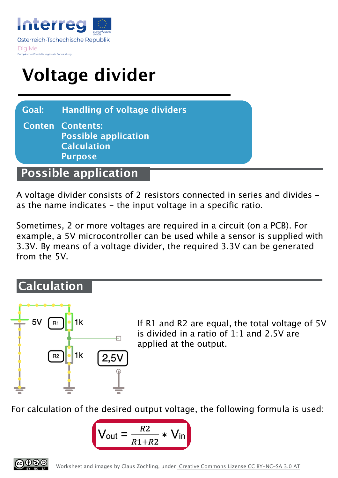

## **Voltage divider**

**Goal: Handling of voltage dividers**

**Conten Contents: Possible application Calculation Purpose**

## **Possible application**

A voltage divider consists of 2 resistors connected in series and divides as the name indicates - the input voltage in a specific ratio.

Sometimes, 2 or more voltages are required in a circuit (on a PCB). For example, a 5V microcontroller can be used while a sensor is supplied with 3.3V. By means of a voltage divider, the required 3.3V can be generated from the 5V.

## **Calculation**



If R1 and R2 are equal, the total voltage of 5V is divided in a ratio of 1:1 and 2.5V are applied at the output.

For calculation of the desired output voltage, the following formula is used:

$$
V_{\text{out}} = \frac{R2}{R1 + R2} * V_{\text{in}}
$$